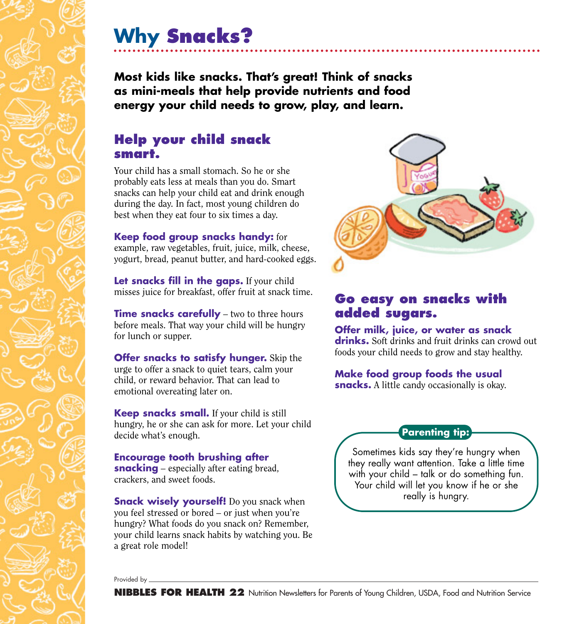# **Why Snacks?**

**Most kids like snacks. That's great! Think of snacks as mini-meals that help provide nutrients and food energy your child needs to grow, play, and learn.**

### **Help your child snack smart.**

Your child has a small stomach. So he or she probably eats less at meals than you do. Smart snacks can help your child eat and drink enough during the day. In fact, most young children do best when they eat four to six times a day.

### **Keep food group snacks handy:** for

example, raw vegetables, fruit, juice, milk, cheese, yogurt, bread, peanut butter, and hard-cooked eggs.

**Let snacks fill in the gaps.** If your child misses juice for breakfast, offer fruit at snack time.

**Time snacks carefully** – two to three hours before meals. That way your child will be hungry for lunch or supper.

**Offer snacks to satisfy hunger.** Skip the urge to offer a snack to quiet tears, calm your child, or reward behavior. That can lead to emotional overeating later on.

**Keep snacks small.** If your child is still hungry, he or she can ask for more. Let your child decide what's enough.

**Encourage tooth brushing after snacking** – especially after eating bread, crackers, and sweet foods.

**Snack wisely yourself!** Do you snack when you feel stressed or bored – or just when you're hungry? What foods do you snack on? Remember, your child learns snack habits by watching you. Be a great role model!



### **Go easy on snacks with added sugars.**

**Offer milk, juice, or water as snack drinks.** Soft drinks and fruit drinks can crowd out foods your child needs to grow and stay healthy.

#### **Make food group foods the usual**

**snacks.** A little candy occasionally is okay.

### **Parenting tip:**

Sometimes kids say they're hungry when they really want attention. Take a little time with your child – talk or do something fun. Your child will let you know if he or she really is hungry.

Provided by